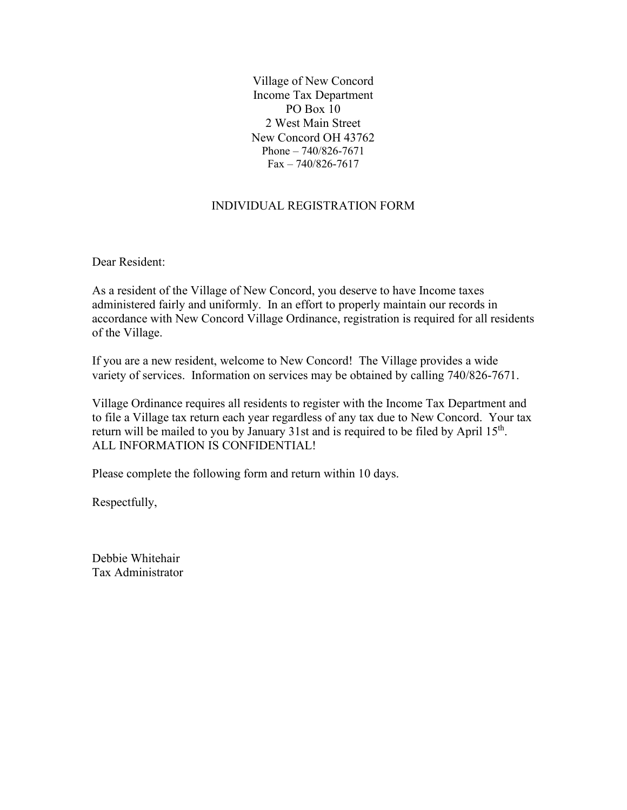Village of New Concord Income Tax Department PO Box 10 2 West Main Street New Concord OH 43762 Phone – 740/826-7671 Fax – 740/826-7617

## INDIVIDUAL REGISTRATION FORM

Dear Resident:

As a resident of the Village of New Concord, you deserve to have Income taxes administered fairly and uniformly. In an effort to properly maintain our records in accordance with New Concord Village Ordinance, registration is required for all residents of the Village.

If you are a new resident, welcome to New Concord! The Village provides a wide variety of services. Information on services may be obtained by calling 740/826-7671.

Village Ordinance requires all residents to register with the Income Tax Department and to file a Village tax return each year regardless of any tax due to New Concord. Your tax return will be mailed to you by January 31st and is required to be filed by April  $15<sup>th</sup>$ . ALL INFORMATION IS CONFIDENTIAL!

Please complete the following form and return within 10 days.

Respectfully,

Debbie Whitehair Tax Administrator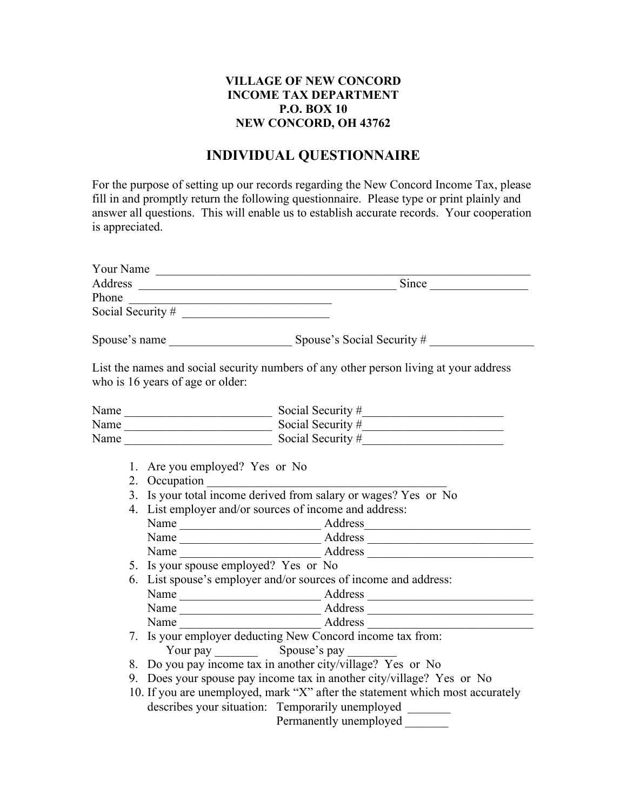## **VILLAGE OF NEW CONCORD INCOME TAX DEPARTMENT P.O. BOX 10 NEW CONCORD, OH 43762**

## **INDIVIDUAL QUESTIONNAIRE**

For the purpose of setting up our records regarding the New Concord Income Tax, please fill in and promptly return the following questionnaire. Please type or print plainly and answer all questions. This will enable us to establish accurate records. Your cooperation is appreciated.

| Your Name                                                                                                                                                                                                                                                                                                                                                                                                                                                                                                                                                                                                                                                            |
|----------------------------------------------------------------------------------------------------------------------------------------------------------------------------------------------------------------------------------------------------------------------------------------------------------------------------------------------------------------------------------------------------------------------------------------------------------------------------------------------------------------------------------------------------------------------------------------------------------------------------------------------------------------------|
|                                                                                                                                                                                                                                                                                                                                                                                                                                                                                                                                                                                                                                                                      |
|                                                                                                                                                                                                                                                                                                                                                                                                                                                                                                                                                                                                                                                                      |
| Social Security # $\qquad \qquad$                                                                                                                                                                                                                                                                                                                                                                                                                                                                                                                                                                                                                                    |
|                                                                                                                                                                                                                                                                                                                                                                                                                                                                                                                                                                                                                                                                      |
| List the names and social security numbers of any other person living at your address<br>who is 16 years of age or older:                                                                                                                                                                                                                                                                                                                                                                                                                                                                                                                                            |
| Name $\frac{1}{\sqrt{1-\frac{1}{2}}\sqrt{1-\frac{1}{2}}\sqrt{1-\frac{1}{2}}\sqrt{1-\frac{1}{2}}\sqrt{1-\frac{1}{2}}\sqrt{1-\frac{1}{2}}\sqrt{1-\frac{1}{2}}\sqrt{1-\frac{1}{2}}\sqrt{1-\frac{1}{2}}\sqrt{1-\frac{1}{2}}\sqrt{1-\frac{1}{2}}\sqrt{1-\frac{1}{2}}\sqrt{1-\frac{1}{2}}\sqrt{1-\frac{1}{2}}\sqrt{1-\frac{1}{2}}\sqrt{1-\frac{1}{2}}\sqrt{1-\frac{1}{2}}\sqrt{1-\frac{1}{2}}\sqrt{1-\frac{1}{2}}\$                                                                                                                                                                                                                                                        |
| Social Security #                                                                                                                                                                                                                                                                                                                                                                                                                                                                                                                                                                                                                                                    |
| Name<br>Social Security #                                                                                                                                                                                                                                                                                                                                                                                                                                                                                                                                                                                                                                            |
| 1. Are you employed? Yes or No<br>2. Occupation<br>3. Is your total income derived from salary or wages? Yes or No<br>4. List employer and/or sources of income and address:<br>5. Is your spouse employed? Yes or No<br>6. List spouse's employer and/or sources of income and address:<br>7. Is your employer deducting New Concord income tax from:<br>8. Do you pay income tax in another city/village? Yes or No<br>9. Does your spouse pay income tax in another city/village? Yes or No<br>10. If you are unemployed, mark "X" after the statement which most accurately<br>describes your situation: Temporarily unemployed ______<br>Permanently unemployed |
|                                                                                                                                                                                                                                                                                                                                                                                                                                                                                                                                                                                                                                                                      |